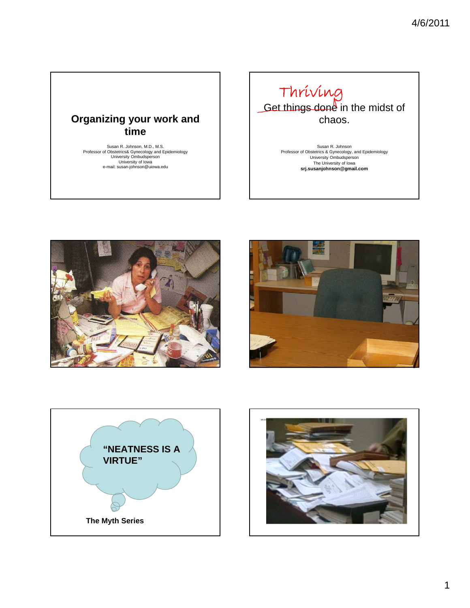### **Organizing your work and time**

Susan R. Johnson, M.D., M.S. Professor of Obstetrics& Gynecology and Epidemiology University Ombudsperson University of Iowa e-mail: susan-johnson@uiowa.edu



Susan R. Johnson Professor of Obstetrics & Gynecology, and Epidemiology<br>University Ombudsperson<br>The University of Iowa<br>**srj.susanjohnson@gmail.com** 







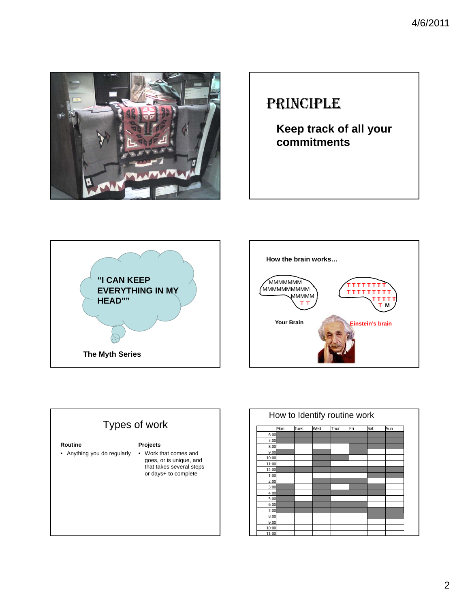

## PRINCIPLE

**Keep track of all your commitments**





### Types of work **Routine** • Anything you do regularly **Projects** • Work that comes and goes, or is unique, and that takes several steps or days+ to complete

|       |     |             | Wed | Thur | Fri | Sat | Sun |
|-------|-----|-------------|-----|------|-----|-----|-----|
|       | Mon | <b>Tues</b> |     |      |     |     |     |
| 6:00  |     |             |     |      |     |     |     |
| 7:00  |     |             |     |      |     |     |     |
| 8:00  |     |             |     |      |     |     |     |
| 9:00  |     |             |     |      |     |     |     |
| 10:00 |     |             |     |      |     |     |     |
| 11:00 |     |             |     |      |     |     |     |
| 12:00 |     |             |     |      |     |     |     |
| 1:00  |     |             |     |      |     |     |     |
| 2:00  |     |             |     |      |     |     |     |
| 3:00  |     |             |     |      |     |     |     |
| 4:00  |     |             |     |      |     |     |     |
| 5:00  |     |             |     |      |     |     |     |
| 6:00  |     |             |     |      |     |     |     |
| 7:00  |     |             |     |      |     |     |     |
| 8:00  |     |             |     |      |     |     |     |
| 9:00  |     |             |     |      |     |     |     |
| 10:00 |     |             |     |      |     |     |     |
| 11:00 |     |             |     |      |     |     |     |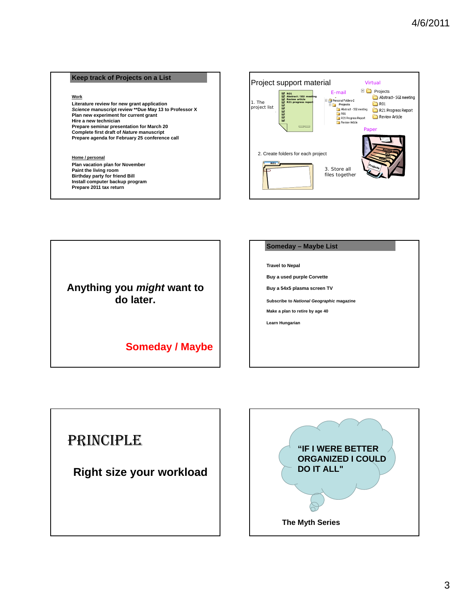#### **Keep track of Projects on a List**

#### **Work**

**Literature review for new grant application** *Science* **manuscript review \*\*Due May 13 to Professor X Plan new experiment for current grant Hire a new technician Prepare seminar presentation for March 20 Complete first draft of** *Nature* **manuscript Prepare agenda for February 25 conference call**

#### **Home / personal**

**Plan vacation plan for November Paint the living room Birthday party for friend Bill Install computer backup program Prepare 2011 tax return**



**Anything you** *might* **want to do later.**

### **Someday / Maybe**

#### **Someday – Maybe List**

**Travel to Nepal**

**Buy a used purple Corvette**

**Buy a 54x5 plasma screen TV**

**Subscribe to** *National Geographic* **magazine**

**Make a plan to retire by age 40**

**Learn Hungarian**

### PRINCIPLE

**Right size your workload**

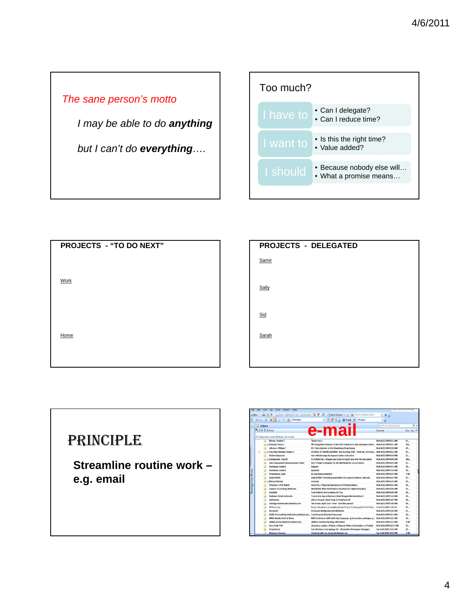*The sane person's motto*

*I may be able to do anything*

*but I can't do everything….*



| PROJECTS - "TO DO NEXT" |  |
|-------------------------|--|
|                         |  |
|                         |  |
| <b>Work</b>             |  |
|                         |  |
|                         |  |
|                         |  |
| Home                    |  |
|                         |  |
|                         |  |

| <b>PROJECTS - DELEGATED</b> |  |
|-----------------------------|--|
| Samir                       |  |
|                             |  |
| Sally                       |  |
|                             |  |
| Sid                         |  |
| Sarah                       |  |
|                             |  |
|                             |  |



|                         |                                          |                     | <b>Scocio Licin</b><br><b>LOOD</b>                                        |                                                                                                |                          |             |      |  |
|-------------------------|------------------------------------------|---------------------|---------------------------------------------------------------------------|------------------------------------------------------------------------------------------------|--------------------------|-------------|------|--|
|                         |                                          |                     |                                                                           | 33New - @ P X Beply Sheply to All Es Formand 图 V 图 P Send/Regeive - 图 [1] Search address books | $\mathbf{0}$             |             |      |  |
| ಳ                       |                                          |                     | <b>③ Back</b> ◎ 2 日 1 ワ 泊 Messages                                        | • □ 図 过 ■ ● Snaght □ Window                                                                    | - B                      |             |      |  |
|                         |                                          | Inbox               |                                                                           |                                                                                                | Search All Outlook Items |             | ۰. م |  |
|                         |                                          | <b>B</b> 1 凸 B From |                                                                           | e-mail                                                                                         | Received                 | Size Ca., P |      |  |
|                         | Categories: (none) (45 items, 36 unread) |                     |                                                                           |                                                                                                |                          |             |      |  |
|                         |                                          |                     | Moore, Heather E.                                                         | Thank You :)                                                                                   | Wed 4/22/2009 8:21 AM    | $11 -$      |      |  |
|                         |                                          |                     | <b>El di Finnerty</b> , Diane L                                           | FW: Suggested revisions to the L&D invitation to new employee orient                           | Wed 4/22/2009 8:21 AM    | 329         |      |  |
|                         |                                          |                     | Johnson, William T                                                        | RE: Final reminder re: the Mandatory Drug Survey                                               | Wed 4/22/2009 8:18 AM    | $20 -$      |      |  |
|                         | ٠                                        |                     | int @ Van Allen-Shalash, Evalyn O                                         | COUNCIL OF DEANS AGENDA: this morning, 9:00 - 10:30 am, UCC Boar Wed 4/22/2009 8:12 AM         |                          | $91 -$      |      |  |
|                         |                                          |                     | <b>Online Classroom</b>                                                   | Five effective ways to improve online instruction                                              | Wed 4/22/2009 8:10 AM    | $21 -$      |      |  |
|                         |                                          |                     | a Sondgeroth, Tracy N                                                     | St. Patrick Day / Maggie pics (I am not guite sure why her eyes glow)                          | Wed 4/22/2009 8:08 AM    | 106.        |      |  |
|                         |                                          |                     | John Pappaiohn Entrepreneurial Center                                     | Don't Forget to Register for the MidWestOne Lecture Series!                                    | Wed 4/22/2009 8:05 AM    | $11 -$      |      |  |
|                         |                                          |                     | Snetselaar, Linda G                                                       | Request                                                                                        | Wed 4/22/2009 7:52 AM    | $24 -$      |      |  |
| <b>Pan</b><br>avigation |                                          | జ                   | Snetselaar, Linda G                                                       | Ouestion                                                                                       | Wed 4/22/2009 7:16 AM    | $10 -$      |      |  |
|                         |                                          |                     | Polumbaum, Judy                                                           | Re: Ida Beam decisions?                                                                        | Wed 4/22/2009 6:47 AM    | 7 KB        |      |  |
|                         |                                          |                     | <b>Daily POEMs</b>                                                        | Daily POEM: Preventing mastoiditis not a good antibiotic rationale                             | Wed 4/22/2009 6:43 AM    | $17 -$      |      |  |
|                         |                                          |                     | <b>Michael Kienzle</b>                                                    | myCards                                                                                        | Wed 4/22/2009 6:29 AM    | $45 -$      |      |  |
|                         |                                          |                     | Physician's First Watch                                                   | Swine Flu / Physician Experience & ICD Implantation                                            | Wed 4/22/2009 6:22 AM    | $36 -$      |      |  |
|                         |                                          | я                   | <b>Campus Technology Webinars</b>                                         | Next Week: Mass Notifications Solutions for Higher Education                                   | Wed 4/22/2009 6:04 AM    | $13 -$      |      |  |
|                         |                                          | 宛                   | SonoSite                                                                  | Your Patients Are Counting On You                                                              | Wed 4/22/2009 6:00 AM    | $19 -$      |      |  |
|                         |                                          | 痫                   | <b>Radisson Hotels &amp; Resorts</b>                                      | Your recent stay at Radisson Hotel Reagan National Airport                                     | Wed 4/22/2009 S:10 AM    | $10 -$      |      |  |
|                         |                                          | 詞                   | <b>SAS Fuents</b>                                                         | SAS to Present a New Track at ThinkTank '09                                                    | Wed 4/22/2009 5:07 AM    | $14-$       |      |  |
|                         |                                          | 詞                   | chris@gooseeducationalmedia.com                                           | The Goose, April 22nd - Have "Jack-like-passion"                                               | Wed 4/22/2009 5:00 AM    | $14 -$      |      |  |
|                         |                                          | А                   | NYTimes.com                                                               | Today's Headlines: In Adopting Harsh Tactics, No Inquiry Into Their Past                       | Wed 4/22/2009 4:50 AM    | $59 -$      |      |  |
|                         |                                          | я                   | <b>DocGuide</b>                                                           | DocGuide Weekly (General Medicine)                                                             | Wed 4/22/2009 4:40 AM    | $51 -$      |      |  |
|                         |                                          | 図                   | KCRG-PersonalPinpointFuturecast@subs.my Your Personal Pinpoint Futurecast |                                                                                                | Wed 4/22/2009 4:15 AM    | $14-$       |      |  |
|                         |                                          | sa                  | <b>NWA Weekly Deals &amp; News</b>                                        | NWA EarthCares 2009 Earth Day Campaign, great vacation packages, p                             | Wed 4/22/2009 2:25 AM    | $43 -$      |      |  |
|                         |                                          |                     | JAMA Archives@alerts.stanford.edu                                         | JAMA & Archives Alerting: WHI article                                                          | Wed 4/22/2009 2:21 AM    | <b>QKR</b>  |      |  |
|                         |                                          | я                   | Gina Hiatt, PhD                                                           | [Academic Ladder] It Takes a Village to Write a Dissertation or Publish                        | Wed 4/22/2009 12:37 AM   | $41 -$      |      |  |
|                         |                                          |                     | <b>PeopleCube</b>                                                         | Free Webinar: Cost Savings 101 - Alternative Workspace Strategies                              | Tue 4/21/2009 11:55 PM   | $10 -$      |      |  |
|                         |                                          |                     | Mangum, Teresa L.                                                         | Checking with you all about strategic cos.                                                     | Tue 4/21/2009 10:57 PM   | 7KB         |      |  |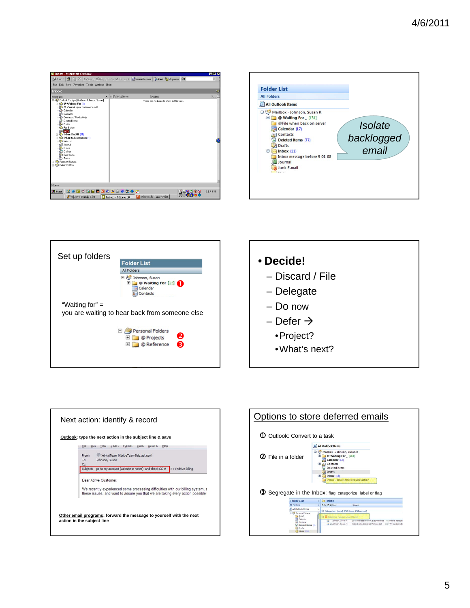







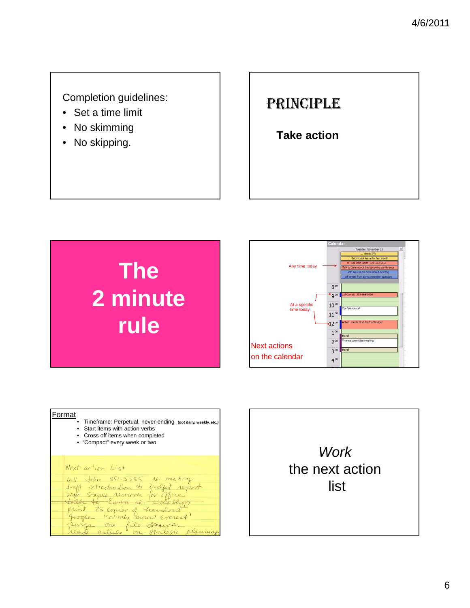**Completion guidelines:** 

- Set a time limit
- No skimming
- 

### PRINCIPLE

• No skinning<br>• No skipping.<br>• No skipping.

# **The 2 minute rule**



#### **Format**

- Timeframe: Perpetual, never-ending **(***not* **daily, weekly, etc.***)*
- Start items with action verbs
- Cross off items when completed • "Compact" every week or two

#### Next action List

Call John 351-5555 ro: meeting<br>draft introduction to indept report<br>love staple removes for office print 25 copies of handers of planning

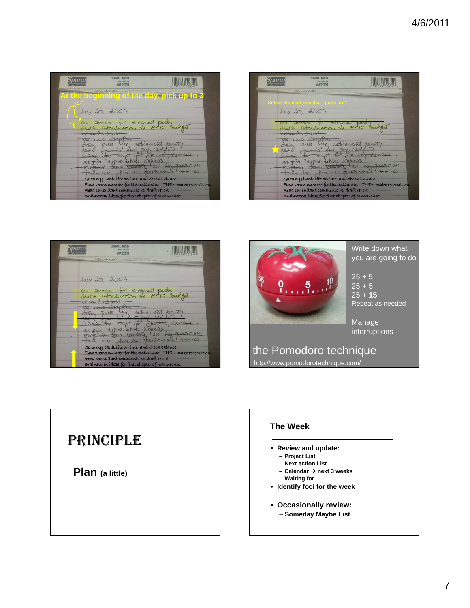| nam | <b>LEGAL PAD</b><br><b>50 SHEETS</b><br><b>W2011</b>                                                                                                        |              |
|-----|-------------------------------------------------------------------------------------------------------------------------------------------------------------|--------------|
|     | $1$ Most. $-$ and $C_1$ M<br>At the beginning of the day, pick up to 3                                                                                      |              |
|     | July 20, 2009                                                                                                                                               |              |
|     | call catever for retirement pointy<br>draft introduction to AU10 budget                                                                                     |              |
|     | $\rightarrow$<br>ctaple<br>John DINS for retrement part                                                                                                     |              |
|     | anos last per render<br>002                                                                                                                                 | Jane's Almen |
|     | le "appréciative inquiry<br>Wiciou<br>$\sqrt{10}$                                                                                                           | a question   |
|     | the to for re: newsmall board<br>Go to my bank site on line and check balance                                                                               |              |
|     | Find phone number for the restaurant THEN make reservation<br>Read consultant comments re: draft report<br>Brainstorm ideas for first chapter of manuscript |              |

| <b>LEGAL</b><br><b>W2011</b>                                                                            |                        |
|---------------------------------------------------------------------------------------------------------|------------------------|
| $1$ $100 - x + 100$                                                                                     |                        |
| Select the next one that "pops out"<br>$Juy$ 20, 2009                                                   |                        |
|                                                                                                         |                        |
|                                                                                                         |                        |
| Crapte<br>NS<br>$+er$<br>last next                                                                      | retrement part         |
| appreciati<br>V                                                                                         | $A\theta$ mais<br>2411 |
| In re: news                                                                                             | guestion               |
| Go to my bank site on line and check balance                                                            |                        |
| Find phone number for the restaurant THEN make reservation<br>Read consultant comments re: draft report |                        |
| Brainstorm ideas for first chapter of manuscript                                                        |                        |





Write down what you are going to do

 $25 + 5$  $25 + 5$ 25 + **15** Repeat as needed

Manage interruptions

the Pomodoro technique http://www.pomodorotechnique.com/

### PRINCIPLE

**Plan (a little)**

### **The Week**

- **Review and update:**
	- **Project List**
	- **Next action List**
	- **Calendar next 3 weeks**
	- **Waiting for**
- **Identify foci for the week**
- **Occasionally review:**
	- **Someday Maybe List**